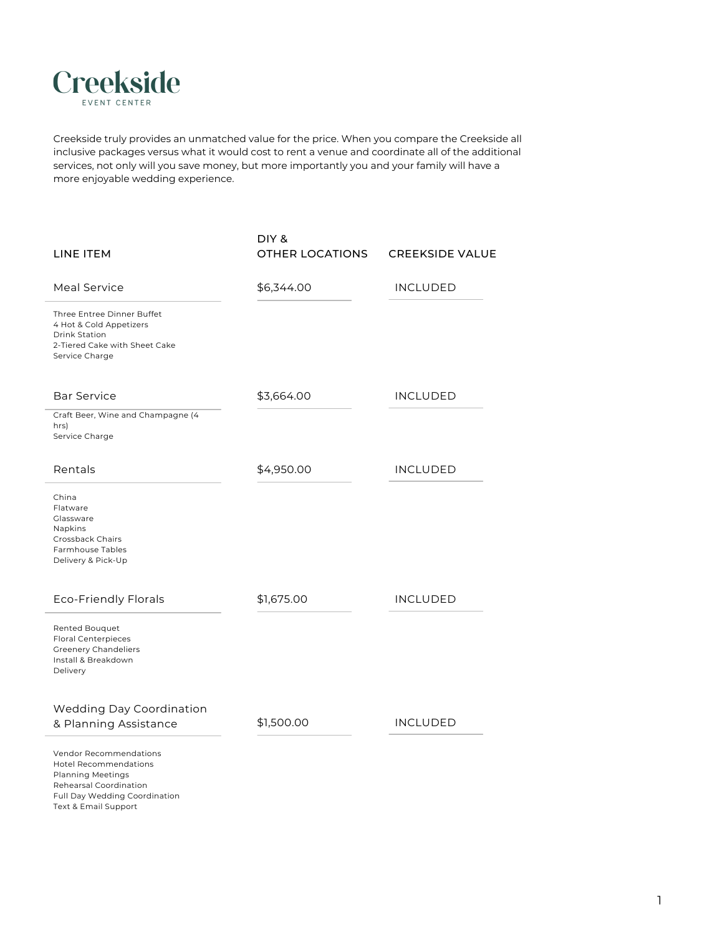| China              |
|--------------------|
| Flatware           |
| Glassware          |
| <b>Napkins</b>     |
| Crossback Chairs   |
| Farmhouse Tables   |
| Delivery & Pick-Up |

| LINE ITEM                                                                                                                        | DIY &<br><b>OTHER LOCATIONS</b> | <b>CREEKSIDE VALUE</b> |
|----------------------------------------------------------------------------------------------------------------------------------|---------------------------------|------------------------|
| Meal Service                                                                                                                     | \$6,344.00                      | <b>INCLUDED</b>        |
| Three Entree Dinner Buffet<br>4 Hot & Cold Appetizers<br><b>Drink Station</b><br>2-Tiered Cake with Sheet Cake<br>Service Charge |                                 |                        |
| <b>Bar Service</b>                                                                                                               | \$3,664.00                      | <b>INCLUDED</b>        |
| Craft Beer, Wine and Champagne (4<br>hrs)<br>Service Charge                                                                      |                                 |                        |
| Rentals                                                                                                                          | \$4,950.00                      | INCLUDED               |

| <b>Eco-Friendly Florals</b>                                                                                           | \$1,675.00 | <b>INCLUDED</b> |
|-----------------------------------------------------------------------------------------------------------------------|------------|-----------------|
| <b>Rented Bouquet</b><br><b>Floral Centerpieces</b><br><b>Greenery Chandeliers</b><br>Install & Breakdown<br>Delivery |            |                 |
| <b>Wedding Day Coordination</b><br>& Planning Assistance                                                              | \$1,500.00 | <b>INCLUDED</b> |
| <b>Vendor Recommendations</b>                                                                                         |            |                 |

Hotel Recommendations Planning Meetings Rehearsal Coordination Full Day Wedding Coordination Text & Email Support

1



Creekside truly provides an unmatched value for the price. When you compare the Creekside all inclusive packages versus what it would cost to rent a venue and coordinate all of the additional services, not only will you save money, but more importantly you and your family will have a more enjoyable wedding experience.